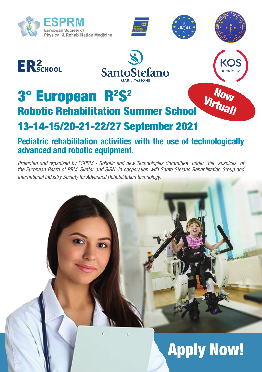



Now Virtual!

KOS





# 3° European R<sup>2</sup>S<sup>2</sup> Robotic Rehabilitation Summer School 13-14-15/20-21-22/27 September 2021

# Pediatric rehabilitation activities with the use of technologically advanced and robotic equipment.

*Promoted and organized by ESPRM - Robotic and new Technologies Committee under the auspices of the European Board of PRM, Simfer and SIRN. In cooperation with Santo Stefano Rehabilitation Group and International Industry Society for Advanced Rehabilitation technology.*

# Apply Now!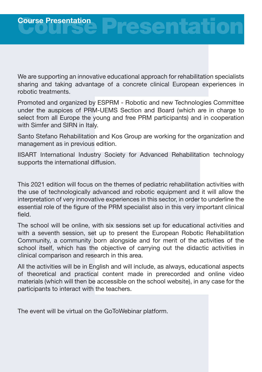We are supporting an innovative educational approach for rehabilitation specialists sharing and taking advantage of a concrete clinical European experiences in robotic treatments.

Promoted and organized by ESPRM - Robotic and new Technologies Committee under the auspices of PRM-UEMS Section and Board (which are in charge to select from all Europe the young and free PRM participants) and in cooperation with Simfer and SIRN in Italy.

Santo Stefano Rehabilitation and Kos Group are working for the organization and management as in previous edition.

IISART International Industry Society for Advanced Rehabilitation technology supports the international diffusion.

This 2021 edition will focus on the themes of pediatric rehabilitation activities with the use of technologically advanced and robotic equipment and it will allow the interpretation of very innovative experiences in this sector, in order to underline the essential role of the figure of the PRM specialist also in this very important clinical field.

The school will be online, with six sessions set up for educational activities and with a seventh session, set up to present the European Robotic Rehabilitation Community, a community born alongside and for merit of the activities of the school itself, which has the objective of carrying out the didactic activities in clinical comparison and research in this area.

All the activities will be in English and will include, as always, educational aspects of theoretical and practical content made in prerecorded and online video materials (which will then be accessible on the school website), in any case for the participants to interact with the teachers.

The event will be virtual on the GoToWebinar platform.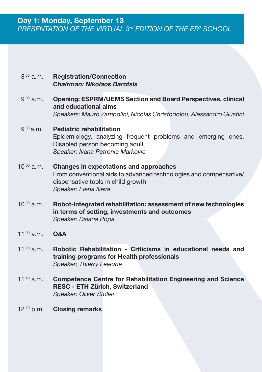#### $8^{:30}$  a.m. Registration/Connection *Chairman: Nikolaos Barotsis*

 $9^{:00}$  a.m. Opening: ESPRM/UEMS Section and Board Perspectives, clinical and educational aims *Speakers: Mauro Zampolini, Nicolas Christodolou, Alessandro Giustini*

#### $9^{:30}$  a.m. Pediatric rehabilitation Epidemiology, analyzing frequent problems and emerging ones. Disabled person becoming adult *Speaker: Ivana Petronic Markovic*

- $10^{.00}$  a.m. Changes in expectations and approaches From conventional aids to advanced technologies and compensative/ dispensative tools in child growth *Speaker: Elena Ilieva*
- $10^{30}$  a.m. Robot-integrated rehabilitation: assessment of new technologies in terms of setting, investments and outcomes *Speaker: Daiana Popa*
- $11^{100}$  a.m. **Q&A**
- 11 $:20$  a.m. Robotic Rehabilitation - Criticisms in educational needs and training programs for Health professionals *Speaker: Thierry Lejeune*
- $11^{:40}$  a.m. Competence Centre for Rehabilitation Engineering and Science RESC - ETH Zürich, Switzerland *Speaker: Oliver Stoller*
- 12:10 p.m. Closing remarks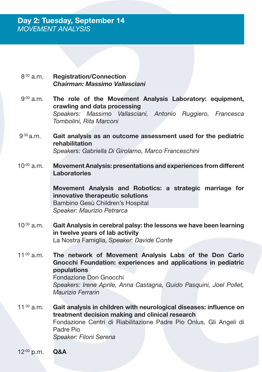- $8^{:30}$  a.m. Registration/Connection *Chairman: Massimo Vallasciani*
- $9^{:00}$  a.m. The role of the Movement Analysis Laboratory: equipment, crawling and data processing *Speakers: Massimo Vallasciani, Antonio Ruggiero, Francesca Tombolini, Rita Marconi*
- $9^{:30}$  a.m. Gait analysis as an outcome assessment used for the pediatric rehabilitation *Speakers: Gabriella Di Girolamo, Marco Franceschini*
- $10^{.00}$  a.m. Movement Analysis: presentations and experiences from different **Laboratories**

Movement Analysis and Robotics: a strategic marriage for innovative therapeutic solutions Bambino Gesù Children's Hospital *Speaker: Maurizio Petrarca*

- $10^{30}$  a.m. Gait Analysis in cerebral palsy: the lessons we have been learning in twelve years of lab activity La Nostra Famiglia, *Speaker: Davide Conte*
- 11:00 a.m. The network of Movement Analysis Labs of the Don Carlo Gnocchi Foundation: experiences and applications in pediatric populations Fondazione Don Gnocchi *Speakers: Irene Aprile, Anna Castagna, Guido Pasquini, Joel Pollet, Maurizio Ferrarin*
- $11^{30}$  a.m. Gait analysis in children with neurological diseases: influence on treatment decision making and clinical research Fondazione Centri di Riabilitazione Padre Pio Onlus, Gli Angeli di Padre Pio *Speaker: Filoni Serena*

12:00 p.m. Q&A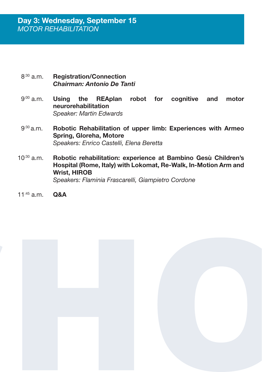- $8^{:30}$  a.m. Registration/Connection *Chairman: Antonio De Tanti*
- $9^{.00}$  a.m. Using the REAplan robot for cognitive and motor neurorehabilitation *Speaker: Martin Edwards*
- $9^{:30}$  a.m. Robotic Rehabilitation of upper limb: Experiences with Armeo Spring, Gloreha, Motore *Speakers: Enrico Castelli, Elena Beretta*
- $10^{30}$  a.m. Robotic rehabilitation: experience at Bambino Gesù Children's Hospital (Rome, Italy) with Lokomat, Re-Walk, In-Motion Arm and Wrist, HIROB *Speakers: Flaminia Frascarelli, Giampietro Cordone*
- $11^{:45}$  a.m. Q&A

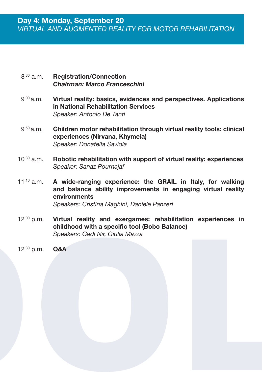- $8^{:30}$  a.m. Registration/Connection *Chairman: Marco Franceschini*
- $9^{:00}$  a.m. Virtual reality: basics, evidences and perspectives. Applications in National Rehabilitation Services *Speaker: Antonio De Tanti*
- $9^{:50}$  a.m. Children motor rehabilitation through virtual reality tools: clinical experiences (Nirvana, Khymeia) *Speaker: Donatella Saviola*
- $10^{30}$  a.m. Robotic rehabilitation with support of virtual reality: experiences *Speaker: Sanaz Pournajaf*
- $11^{:10}$  a.m. A wide-ranging experience: the GRAIL in Italy, for walking and balance ability improvements in engaging virtual reality environments *Speakers: Cristina Maghini, Daniele Panzeri*
- $12^{.00}$  p.m. Virtual reality and exergames: rehabilitation experiences in childhood with a specific tool (Bobo Balance) *Speakers: Gadi Nir, Giulia Mazza*
- 12:30 p.m. Q&A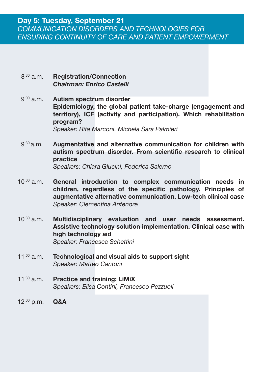- $8^{:30}$  a.m. Registration/Connection *Chairman: Enrico Castelli*
- $9^{:00}$  a.m. Autism spectrum disorder Epidemiology, the global patient take-charge (engagement and territory), ICF (activity and participation). Which rehabilitation program? *Speaker: Rita Marconi, Michela Sara Palmieri*
- $9^{30}$ a.m. Augmentative and alternative communication for children with autism spectrum disorder. From scientific research to clinical practice *Speakers: Chiara Glucini, Federica Salerno*
- $10^{.00}$  a.m. General introduction to complex communication needs in children, regardless of the specific pathology. Principles of augmentative alternative communication. Low-tech clinical case *Speaker: Clementina Antenore*
- $10^{30}$  a.m. Multidisciplinary evaluation and user needs assessment. Assistive technology solution implementation. Clinical case with high technology aid *Speaker: Francesca Schettini*
- 11:00 a.m. Technological and visual aids to support sight *Speaker: Matteo Cantoni*
- $11^{:30}$  a.m. Practice and training: LiMiX *Speakers: Elisa Contini, Francesco Pezzuoli*
- 12:00 p.m. Q&A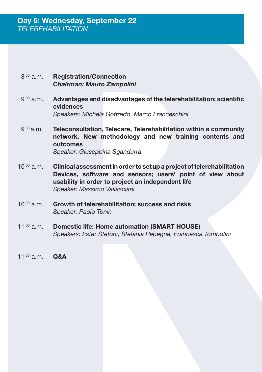#### $8^{:30}$  a.m. Registration/Connection *Chairman: Mauro Zampolini*

- 9:00 a.m. Advantages and disadvantages of the telerehabilitation; scientific evidences *Speakers: Michela Goffredo, Marco Franceschini*
- $9^{:30}$  a.m. Teleconsultation, Telecare, Telerehabilitation within a community network. New methodology and new training contents and outcomes *Speaker: Giuseppina Sgandurra*

 $10^{.00}$  a.m. Clinical assessment in order to set up a project of telerehabilitation Devices, software and sensors; users' point of view about usability in order to project an independent life

*Speaker: Massimo Vallasciani*

- $10^{30}$  a.m. Growth of telerehabilitation: success and risks *Speaker: Paolo Tonin*
- 11:00 a.m. Domestic life: Home automation (SMART HOUSE) *Speakers: Ester Stefoni, Stefania Pepegna, Francesca Tombolini*
- 11<sup>:30</sup> a.m. Q&A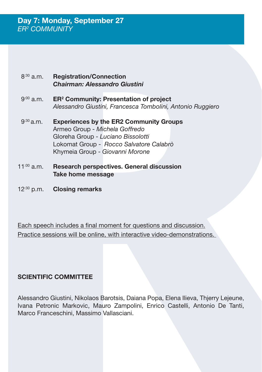#### $8^{:30}$  a.m. Registration/Connection *Chairman: Alessandro Giustini*

- $9^{:00}$  a.m. ER<sup>2</sup> Community: Presentation of project *Alessandro Giustini, Francesca Tombolini, Antonio Ruggiero*
- $9^{30}$  a.m. Experiences by the ER2 Community Groups Armeo Group - *Michela Goffredo* Gloreha Group - *Luciano Bissolotti* Lokomat Group - *Rocco Salvatore Calabrò* Khymeia Group - *Giovanni Morone*
- 11:00 a.m. Research perspectives. General discussion Take home message
- $12^{30}$  p.m. Closing remarks

Each speech includes a final moment for questions and discussion. Practice sessions will be online, with interactive video-demonstrations.

# SCIENTIFIC COMMITTEE

Alessandro Giustini, Nikolaos Barotsis, Daiana Popa, Elena Ilieva, Thjerry Lejeune, Ivana Petronic Markovic, Mauro Zampolini, Enrico Castelli, Antonio De Tanti, Marco Franceschini, Massimo Vallasciani.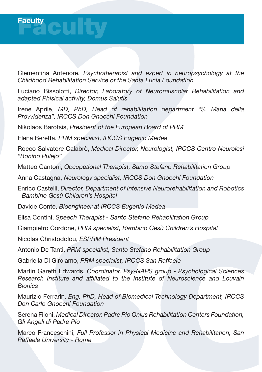

Clementina Antenore, *Psychotherapist and expert in neuropsychology at the Childhood Rehabilitation Service of the Santa Lucia Foundation*

Luciano Bissolotti, *Director, Laboratory of Neuromuscolar Rehabilitation and adapted Phisical activity, Domus Salutis*

Irene Aprile, *MD, PhD, Head of rehabilitation department "S. Maria della Provvidenza", IRCCS Don Gnocchi Foundation*

Nikolaos Barotsis, *President of the European Board of PRM*

Elena Beretta, *PRM specialist, IRCCS Eugenio Medea*

Rocco Salvatore Calabrò, *Medical Director, Neurologist, IRCCS Centro Neurolesi "Bonino Pulejo"* 

Matteo Cantoni, *Occupational Therapist, Santo Stefano Rehabilitation Group*

Anna Castagna, *Neurology specialist, IRCCS Don Gnocchi Foundation*

Enrico Castelli, *Director, Department of Intensive Neurorehabilitation and Robotics - Bambino Gesù Children's Hospital*

Davide Conte, *Bioengineer at IRCCS Eugenio Medea*

Elisa Contini, *Speech Therapist - Santo Stefano Rehabilitation Group*

Giampietro Cordone, *PRM specialist, Bambino Gesù Children's Hospital*

Nicolas Christodolou, *ESPRM President*

Antonio De Tanti, *PRM specialist, Santo Stefano Rehabilitation Group*

Gabriella Di Girolamo, *PRM specialist, IRCCS San Raffaele*

Martin Gareth Edwards, *Coordinator, Psy-NAPS group - Psychological Sciences Research Institute and affiliated to the Institute of Neuroscience and Louvain Bionics*

Maurizio Ferrarin, *Eng, PhD, Head of Biomedical Technology Department, IRCCS Don Carlo Gnocchi Foundation*

Serena Filoni, *Medical Director, Padre Pio Onlus Rehabilitation Centers Foundation, Gli Angeli di Padre Pio*

Marco Franceschini, *Full Professor in Physical Medicine and Rehabilitation, San Raffaele University - Rome*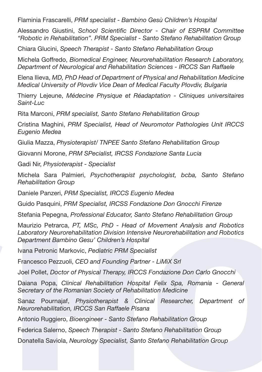Flaminia Frascarelli, *PRM specialist - Bambino Gesù Children's Hospital*

Alessandro Giustini, *School Scientific Director - Chair of ESPRM Committee "Robotic in Rehabilitation". PRM Specialist - Santo Stefano Rehabilitation Group*

Chiara Glucini, *Speech Therapist - Santo Stefano Rehabilitation Group*

Michela Goffredo, *Biomedical Engineer, Neurorehabilitation Research Laboratory, Department of Neurological and Rehabilitation Sciences - IRCCS San Raffaele*

Elena Ilieva, *MD, PhD Head of Department of Physical and Rehabilitation Medicine Medical University of Plovdiv Vice Dean of Medical Faculty Plovdiv, Bulgaria*

Thierry Lejeune, *Médecine Physique et Réadaptation - Cliniques universitaires Saint-Luc*

Rita Marconi, *PRM specialist, Santo Stefano Rehabilitation Group*

Cristina Maghini, *PRM Specialist, Head of Neuromotor Pathologies Unit IRCCS Eugenio Medea*

Giulia Mazza, *Physioterapist/ TNPEE Santo Stefano Rehabilitation Group*

Giovanni Morone, *PRM SPecialist, IRCSS Fondazione Santa Lucia*

Gadi Nir, *Physioterapist - Specialist*

Michela Sara Palmieri, *Psychotherapist psychologist, bcba, Santo Stefano Rehabilitation Group*

Daniele Panzeri, *PRM Specialist, IRCCS Eugenio Medea*

Guido Pasquini, *PRM Specialist, IRCSS Fondazione Don Gnocchi Firenze*

Stefania Pepegna, *Professional Educator, Santo Stefano Rehabilitation Group*

Maurizio Petrarca, *PT, MSc, PhD - Head of Movement Analysis and Robotics Laboratory Neurorehabilitation Division Intensive Neurorehabilitation and Robotics Department Bambino Gesu' Children's Hospital*

Ivana Petronic Markovic, *Pediatric PRM Specialist*

Francesco Pezzuoli, *CEO and Founding Partner - LiMiX Srl*

Joel Pollet, *Doctor of Physical Therapy, IRCCS Fondazione Don Carlo Gnocchi*

Daiana Popa, *Clinical Rehabilitation Hospital Felix Spa, Romania - General Secretary of the Romanian Society of Rehabilitation Medicine*

Sanaz Pournajaf, *Physiotherapist & Clinical Researcher, Department of Neurorehabilitation, IRCCS San Raffaele Pisana*

Antonio Ruggiero, *Bioengineer - Santo Stefano Rehabilitation Group*

Federica Salerno, *Speech Therapist - Santo Stefano Rehabilitation Group*

Donatella Saviola, *Neurology Specialist, Santo Stefano Rehabilitation Group*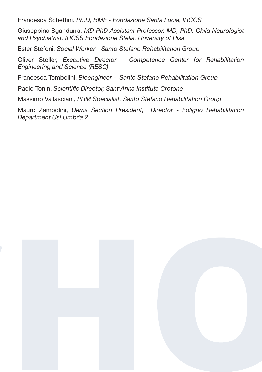Francesca Schettini, *Ph.D, BME - Fondazione Santa Lucia, IRCCS*

Giuseppina Sgandurra, *MD PhD Assistant Professor, MD, PhD, Child Neurologist and Psychiatrist, IRCSS Fondazione Stella, Unversity of Pisa*

Ester Stefoni, *Social Worker - Santo Stefano Rehabilitation Group*

Oliver Stoller, *Executive Director - Competence Center for Rehabilitation Engineering and Science (RESC)*

Francesca Tombolini, *Bioengineer - Santo Stefano Rehabilitation Group*

Paolo Tonin, *Scientific Director, Sant'Anna Institute Crotone*

Massimo Vallasciani, *PRM Specialist, Santo Stefano Rehabilitation Group*

Mauro Zampolini, *Uems Section President, Director - Foligno Rehabilitation Department Usl Umbria 2*